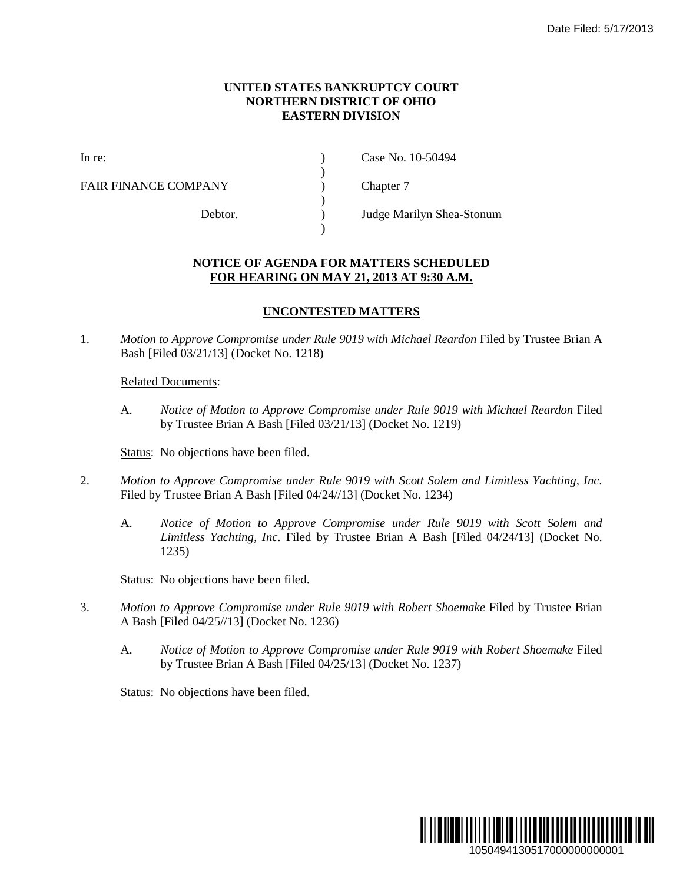## **UNITED STATES BANKRUPTCY COURT NORTHERN DISTRICT OF OHIO EASTERN DIVISION**

)

 $\lambda$ 

)

FAIR FINANCE COMPANY (and  $\Gamma$ ) Chapter 7

In re: (a) Case No. 10-50494

Debtor. ) Judge Marilyn Shea-Stonum

## **NOTICE OF AGENDA FOR MATTERS SCHEDULED FOR HEARING ON MAY 21, 2013 AT 9:30 A.M.**

## **UNCONTESTED MATTERS**

1. *Motion to Approve Compromise under Rule 9019 with Michael Reardon* Filed by Trustee Brian A Bash [Filed 03/21/13] (Docket No. 1218)

## Related Documents:

A. *Notice of Motion to Approve Compromise under Rule 9019 with Michael Reardon* Filed by Trustee Brian A Bash [Filed 03/21/13] (Docket No. 1219)

Status: No objections have been filed.

- 2. *Motion to Approve Compromise under Rule 9019 with Scott Solem and Limitless Yachting, Inc.* Filed by Trustee Brian A Bash [Filed 04/24//13] (Docket No. 1234)
	- A. *Notice of Motion to Approve Compromise under Rule 9019 with Scott Solem and Limitless Yachting, Inc.* Filed by Trustee Brian A Bash [Filed 04/24/13] (Docket No. 1235)

Status: No objections have been filed.

- 3. *Motion to Approve Compromise under Rule 9019 with Robert Shoemake* Filed by Trustee Brian A Bash [Filed 04/25//13] (Docket No. 1236)
	- A. *Notice of Motion to Approve Compromise under Rule 9019 with Robert Shoemake* Filed by Trustee Brian A Bash [Filed 04/25/13] (Docket No. 1237)

Status: No objections have been filed.